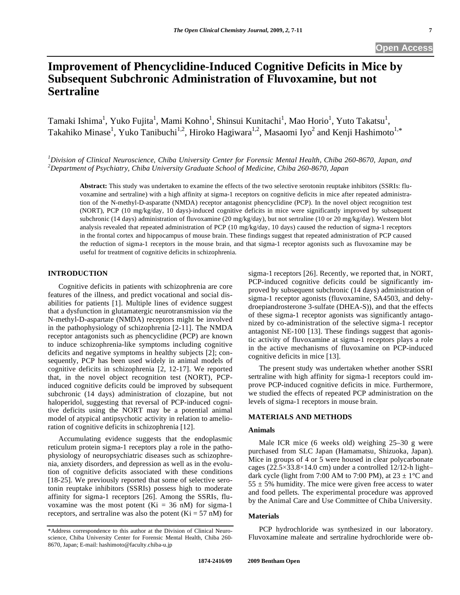# **Improvement of Phencyclidine-Induced Cognitive Deficits in Mice by Subsequent Subchronic Administration of Fluvoxamine, but not Sertraline**

Tamaki Ishima<sup>1</sup>, Yuko Fujita<sup>1</sup>, Mami Kohno<sup>1</sup>, Shinsui Kunitachi<sup>1</sup>, Mao Horio<sup>1</sup>, Yuto Takatsu<sup>1</sup>, Takahiko Minase<sup>1</sup>, Yuko Tanibuchi<sup>1,2</sup>, Hiroko Hagiwara<sup>1,2</sup>, Masaomi Iyo<sup>2</sup> and Kenji Hashimoto<sup>1,\*</sup>

*1 Division of Clinical Neuroscience, Chiba University Center for Forensic Mental Health, Chiba 260-8670, Japan, and 2 Department of Psychiatry, Chiba University Graduate School of Medicine, Chiba 260-8670, Japan* 

**Abstract:** This study was undertaken to examine the effects of the two selective serotonin reuptake inhibitors (SSRIs: fluvoxamine and sertraline) with a high affinity at sigma-1 receptors on cognitive deficits in mice after repeated administration of the N-methyl-D-asparatte (NMDA) receptor antagonist phencyclidine (PCP). In the novel object recognition test (NORT), PCP (10 mg/kg/day, 10 days)-induced cognitive deficits in mice were significantly improved by subsequent subchronic (14 days) administration of fluvoxamine (20 mg/kg/day), but not sertraline (10 or 20 mg/kg/day). Western blot analysis revealed that repeated administration of PCP (10 mg/kg/day, 10 days) caused the reduction of sigma-1 receptors in the frontal cortex and hippocampus of mouse brain. These findings suggest that repeated administration of PCP caused the reduction of sigma-1 receptors in the mouse brain, and that sigma-1 receptor agonists such as fluvoxamine may be useful for treatment of cognitive deficits in schizophrenia.

#### **INTRODUCTION**

 Cognitive deficits in patients with schizophrenia are core features of the illness, and predict vocational and social disabilities for patients [1]. Multiple lines of evidence suggest that a dysfunction in glutamatergic neurotransmission *via* the N-methyl-D-aspartate (NMDA) receptors might be involved in the pathophysiology of schizophrenia [2-11]. The NMDA receptor antagonists such as phencyclidine (PCP) are known to induce schizophrenia-like symptoms including cognitive deficits and negative symptoms in healthy subjects [2]; consequently, PCP has been used widely in animal models of cognitive deficits in schizophrenia [2, 12-17]. We reported that, in the novel object recognition test (NORT), PCPinduced cognitive deficits could be improved by subsequent subchronic (14 days) administration of clozapine, but not haloperidol, suggesting that reversal of PCP-induced cognitive deficits using the NORT may be a potential animal model of atypical antipsychotic activity in relation to amelioration of cognitive deficits in schizophrenia [12].

 Accumulating evidence suggests that the endoplasmic reticulum protein sigma-1 receptors play a role in the pathophysiology of neuropsychiatric diseases such as schizophrenia, anxiety disorders, and depression as well as in the evolution of cognitive deficits associated with these conditions [18-25]. We previously reported that some of selective serotonin reuptake inhibitors (SSRIs) possess high to moderate affinity for sigma-1 receptors [26]. Among the SSRIs, fluvoxamine was the most potent  $(Ki = 36 \text{ nM})$  for sigma-1 receptors, and sertraline was also the potent  $(Ki = 57 \text{ nM})$  for sigma-1 receptors [26]. Recently, we reported that, in NORT, PCP-induced cognitive deficits could be significantly improved by subsequent subchronic (14 days) administration of sigma-1 receptor agonists (fluvoxamine, SA4503, and dehydroepiandrosterone 3-sulfate (DHEA-S)), and that the effects of these sigma-1 receptor agonists was significantly antagonized by co-administration of the selective sigma-1 receptor antagonist NE-100 [13]. These findings suggest that agonistic activity of fluvoxamine at sigma-1 receptors plays a role in the active mechanisms of fluvoxamine on PCP-induced cognitive deficits in mice [13].

 The present study was undertaken whether another SSRI sertraline with high affinity for sigma-1 receptors could improve PCP-induced cognitive deficits in mice. Furthermore, we studied the effects of repeated PCP administration on the levels of sigma-1 receptors in mouse brain.

## **MATERIALS AND METHODS**

## **Animals**

 Male ICR mice (6 weeks old) weighing 25–30 g were purchased from SLC Japan (Hamamatsu, Shizuoka, Japan). Mice in groups of 4 or 5 were housed in clear polycarbonate cages ( $22.5 \times 33.8 \times 14.0$  cm) under a controlled 12/12-h light– dark cycle (light from 7:00 AM to 7:00 PM), at  $23 \pm 1$ °C and  $55 \pm 5\%$  humidity. The mice were given free access to water and food pellets. The experimental procedure was approved by the Animal Care and Use Committee of Chiba University.

### **Materials**

 PCP hydrochloride was synthesized in our laboratory. Fluvoxamine maleate and sertraline hydrochloride were ob-

<sup>\*</sup>Address correspondence to this author at the Division of Clinical Neuroscience, Chiba University Center for Forensic Mental Health, Chiba 260- 8670, Japan; E-mail: hashimoto@faculty.chiba-u.jp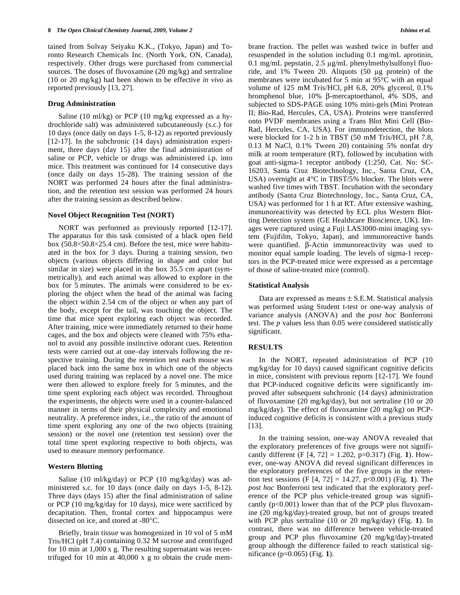tained from Solvay Seiyaku K.K., (Tokyo, Japan) and Toronto Research Chemicals Inc. (North York, ON, Canada), respectively. Other drugs were purchased from commercial sources. The doses of fluvoxamine (20 mg/kg) and sertraline (10 or 20 mg/kg) had been shown to be effective *in vivo* as reported previously [13, 27].

#### **Drug Administration**

 Saline (10 ml/kg) or PCP (10 mg/kg expressed as a hydrochloride salt) was administered subcutaneously (s.c.) for 10 days (once daily on days 1-5, 8-12) as reported previously [12-17]. In the subchronic (14 days) administration experiment, three days (day 15) after the final administration of saline or PCP, vehicle or drugs was administered i.p. into mice. This treatment was continued for 14 consecutive days (once daily on days 15-28). The training session of the NORT was performed 24 hours after the final administration, and the retention test session was performed 24 hours after the training session as described below.

#### **Novel Object Recognition Test (NORT)**

 NORT was performed as previously reported [12-17]. The apparatus for this task consisted of a black open field box (50.8-50.8-25.4 cm). Before the test, mice were habituated in the box for 3 days. During a training session, two objects (various objects differing in shape and color but similar in size) were placed in the box 35.5 cm apart (symmetrically), and each animal was allowed to explore in the box for 5 minutes. The animals were considered to be exploring the object when the head of the animal was facing the object within 2.54 cm of the object or when any part of the body, except for the tail, was touching the object. The time that mice spent exploring each object was recorded. After training, mice were immediately returned to their home cages, and the box and objects were cleaned with 75% ethanol to avoid any possible instinctive odorant cues. Retention tests were carried out at one–day intervals following the respective training. During the retention test each mouse was placed back into the same box in which one of the objects used during training was replaced by a novel one. The mice were then allowed to explore freely for 5 minutes, and the time spent exploring each object was recorded. Throughout the experiments, the objects were used in a counter-balanced manner in terms of their physical complexity and emotional neutrality. A preference index, i.e., the ratio of the amount of time spent exploring any one of the two objects (training session) or the novel one (retention test session) over the total time spent exploring respective to both objects, was used to measure memory performance.

#### **Western Blotting**

 Saline (10 ml/kg/day) or PCP (10 mg/kg/day) was administered s.c. for 10 days (once daily on days 1-5, 8-12). Three days (days 15) after the final administration of saline or PCP (10 mg/kg/day for 10 days), mice were sacrificed by decapitation. Then, frontal cortex and hippocampus were dissected on ice, and stored at -80°C.

 Briefly, brain tissue was homogenized in 10 vol of 5 mM Tris/HCl (pH 7.4) containing 0.32 M sucrose and centrifuged for 10 min at 1,000 x g. The resulting supernatant was recentrifuged for 10 min at 40,000 x g to obtain the crude membrane fraction. The pellet was washed twice in buffer and resuspended in the solution including 0.1 mg/mL aprotinin, 0.1 mg/mL pepstatin,  $2.5 \mu$ g/mL phenylmethylsulfonyl fluoride, and  $1\%$  Tween 20. Aliquots (50  $\mu$ g protein) of the membranes were incubated for 5 min at 95°C with an equal volume of 125 mM Tris/HCl, pH 6.8, 20% glycerol, 0.1% bromphenol blue,  $10\%$   $\beta$ -mercaptoethanol,  $4\%$  SDS, and subjected to SDS-PAGE using 10% mini-gels (Mini Protean II; Bio-Rad, Hercules, CA, USA). Proteins were transferred onto PVDF membranes using a Trans Blot Mini Cell (Bio-Rad, Hercules, CA, USA). For immunodetection, the blots were blocked for 1-2 h in TBST (50 mM Tris/HCl, pH 7.8, 0.13 M NaCl, 0.1% Tween 20) containing 5% nonfat dry milk at room temperature (RT), followed by incubation with goat anti-sigma-1 receptor antibody (1:250, Cat. No: SC-16203, Santa Cruz Biotechnology, Inc., Santa Cruz, CA, USA) overnight at 4°C in TBST/5% blocker. The blots were washed five times with TBST. Incubation with the secondary antibody (Santa Cruz Biotechnology, Inc., Santa Cruz, CA, USA) was performed for 1 h at RT. After extensive washing, immunoreactivity was detected by ECL plus Western Blotting Detection system (GE Healthcare Bioscience, UK). Images were captured using a Fuji LAS3000-mini imaging system (Fujifilm, Tokyo, Japan), and immunoreactive bands were quantified.  $\beta$ -Actin immunoreactivity was used to monitor equal sample loading. The levels of sigma-1 receptors in the PCP-treated mice were expressed as a percentage of those of saline-treated mice (control).

#### **Statistical Analysis**

Data are expressed as means  $\pm$  S.E.M. Statistical analysis was performed using Student t-test or one-way analysis of variance analysis (ANOVA) and the *post hoc* Bonferroni test. The *p* values less than 0.05 were considered statistically significant.

### **RESULTS**

 In the NORT, repeated administration of PCP (10 mg/kg/day for 10 days) caused significant cognitive deficits in mice, consistent with previous reports [12-17]. We found that PCP-induced cognitive deficits were significantly improved after subsequent subchronic (14 days) administration of fluvoxamine (20 mg/kg/day), but not sertraline (10 or 20 mg/kg/day). The effect of fluvoxamine (20 mg/kg) on PCPinduced cognitive deficits is consistent with a previous study [13].

 In the training session, one-way ANOVA revealed that the exploratory preferences of five groups were not significantly different (F [4, 72] = 1.202, p=0.317) (Fig. **1**). However, one-way ANOVA did reveal significant differences in the exploratory preferences of the five groups in the retention test sessions (F [4, 72] = 14.27, p<0.001) (Fig. **1**). The *post hoc* Bonferroni test indicated that the exploratory preference of the PCP plus vehicle-treated group was significantly  $(p<0.001)$  lower than that of the PCP plus fluvoxamine (20 mg/kg/day)-treated group, but not of groups treated with PCP plus sertraline (10 or 20 mg/kg/day) (Fig. **1**). In contrast, there was no difference between vehicle-treated group and PCP plus fluvoxamine (20 mg/kg/day)-treated group although the difference failed to reach statistical significance (p=0.065) (Fig. **1**).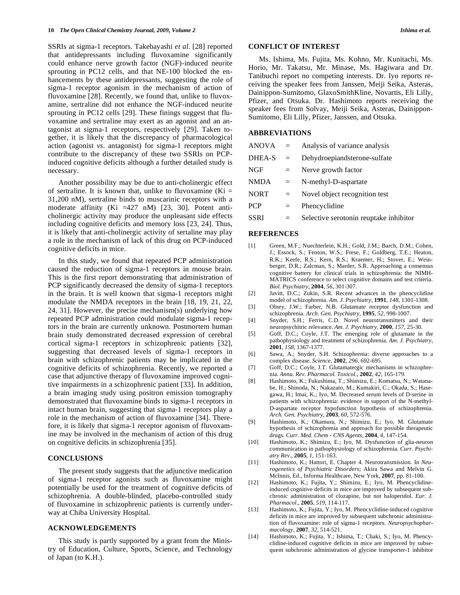SSRIs at sigma-1 receptors. Takebayashi *et al*. [28] reported that antidepressants including fluvoxamine significantly could enhance nerve growth factor (NGF)-induced neurite sprouting in PC12 cells, and that NE-100 blocked the enhancements by these antidepressants, suggesting the role of sigma-1 receptor agonism in the mechanism of action of fluvoxamine [28]. Recently, we found that, unlike to fluvoxamine, sertraline did not enhance the NGF-induced neurite sprouting in PC12 cells [29]. These finings suggest that fluvoxamine and sertraline may exert as an agonist and an antagonist at sigma-1 receptors, respectively [29]. Taken together, it is likely that the discrepancy of pharmacological action (agonist *vs*. antagonist) for sigma-1 receptors might contribute to the discrepancy of these two SSRIs on PCPinduced cognitive deficits although a further detailed study is necessary.

 Another possibility may be due to anti-cholinergic effect of sertraline. It is known that, unlike to fluvoxamine  $(Ki =$ 31,200 nM), sertraline binds to muscarinic receptors with a moderate affinity (Ki =427 nM) [23, 30]. Potent anticholinergic activity may produce the unpleasant side effects including cognitive deficits and memory loss [23, 24]. Thus, it is likely that anti-cholinergic activity of sertaline may play a role in the mechanism of lack of this drug on PCP-induced cognitive deficits in mice.

 In this study, we found that repeated PCP administration caused the reduction of sigma-1 receptors in mouse brain. This is the first report demonstrating that administration of PCP significantly decreased the density of sigma-1 receptors in the brain. It is well known that sigma-1 receptors might modulate the NMDA receptors in the brain [18, 19, 21, 22, 24, 31]. However, the precise mechanism(s) underlying how repeated PCP administration could modulate sigma-1 receptors in the brain are currently unknown. Postmortem human brain study demonstrated decreased expression of cerebral cortical sigma-1 receptors in schizophrenic patients [32], suggesting that decreased levels of sigma-1 receptors in brain with schizophrenic patients may be implicated in the cognitive deficits of schizophrenia. Recently, we reported a case that adjunctive therapy of fluvoxamine improved cognitive impairments in a schizophrenic patient [33]. In addition, a brain imaging study using positron emission tomography demonstrated that fluvoxamine binds to sigma-1 receptors in intact human brain, suggesting that sigma-1 receptors play a role in the mechanism of action of fluvoxamine [34]. Therefore, it is likely that sigma-1 receptor agonism of fluvoxamine may be involved in the mechanism of action of this drug on cognitive deficits in schizophrenia [35].

## **CONCLUSIONS**

 The present study suggests that the adjunctive medication of sigma-1 receptor agonists such as fluvoxamine might potentially be used for the treatment of cognitive deficits of schizophrenia. A double-blinded, placebo-controlled study of fluvoxamine in schizophrenic patients is currently underway at Chiba University Hospital.

#### **ACKNOWLEDGEMENTS**

 This study is partly supported by a grant from the Ministry of Education, Culture, Sports, Science, and Technology of Japan (to K.H.).

#### **CONFLICT OF INTEREST**

 Ms. Ishima, Ms. Fujita, Ms. Kohno, Mr. Kunitachi, Ms. Horio, Mr. Takatsu, Mr. Minase, Ms. Hagiwara and Dr. Tanibuchi report no competing interests. Dr. Iyo reports receiving the speaker fees from Janssen, Meiji Seika, Asteras, Dainippon-Sumitomo, GlaxoSmithKline, Novartis, Eli Lilly, Pfizer, and Otsuka. Dr. Hashimoto reports receiving the speaker fees from Solvay, Meiji Seika, Asteras, Dainippon-Sumitomo, Eli Lilly, Pfizer, Janssen, and Otsuka.

#### **ABBREVIATIONS**

| $ANOVA =$   |     | Analysis of variance analysis          |
|-------------|-----|----------------------------------------|
| DHEA-S      | $=$ | Dehydroepiandsterone-sulfate           |
| NGF         | $=$ | Nerve growth factor                    |
| <b>NMDA</b> | $=$ | N-methyl-D-aspartate                   |
| <b>NORT</b> | $=$ | Novel object recognition test          |
| <b>PCP</b>  | $=$ | Phencyclidine                          |
| SSRI        | $=$ | Selective serotonin reuptake inhibitor |
|             |     |                                        |

#### **REFERENCES**

- [1] Green, M.F.; Nuechterlein, K.H.; Gold, J.M.; Barch, D.M.; Cohen, J.; Essock, S.; Fenton, W.S.; Frese, F.; Goldberg, T.E.; Heaton, R.K.; Keefe, R.S.; Kern, R.S.; Kraemer, H.; Stover, E.; Weinberger, D.R.; Zalcman, S.; Marder, S.R. Approaching a consensus cognitive battery for clinical trials in schizophrenia: the NIMH-MATRICS conference to select cognitive domains and test criteria. *Biol. Psychiatry*, **2004**, *56*, 301-307.
- [2] Javitt, D.C.; Zukin, S.R. Recent advances in the phencyclidine model of schizophrenia. *Am. J. Psychiatry*, **1991**, *148*, 1301-1308.
- [3] Olney, J.W.; Farber, N.B. Glutamate receptor dysfunction and schizophrenia. *Arch. Gen. Psychiatry*, **1995**, *52*, 998-1007.
- [4] Snyder, S.H.; Ferris, C.D. Novel neurotransmitters and their neuropsychitric relevance. *Am. J. Psychiatry*, **2000**, *157*, 25-30.
- [5] Goff, D.C.; Coyle, J.T. The emerging role of glutamate in the pathophysiology and treatment of schizophrenia. *Am. J. Psychiatry*, **2001**, *158*, 1367-1377.
- [6] Sawa, A.; Snyder, S.H. Schizophrenia: diverse approaches to a complex disease. *Science,* **2002**, *296*, 692-695.
- [7] Goff, D.C.; Coyle, J.T. Glutamatergic mechanisms in schizophrenia. *Annu. Rev. Pharmacol. Toxicol.,* **2002**, *42*, 165-179.
- [8] Hashimoto, K.; Fukushima, T.; Shimizu, E.; Komatsu, N.; Watanabe, H.; Shinoda, N.; Nakazato, M.; Kumakiri, C.; Okada, S.; Hasegawa, H.; Imai, K.; Iyo, M. Decreased serum levels of D-serine in patients with schizophrenia: evidence in support of the N-methyl-D-aspartate receptor hypofunction hypothesis of schizophrenia. *Arch. Gen. Psychiatry*, **2003**, *60*, 572-576.
- [9] Hashimoto, K.; Okamura, N.; Shimizu, E.; Iyo, M. Glutamate hypothesis of schizophrenia and approach for possible therapeutic drugs. *Curr. Med. Chem - CNS Agents*, **2004**, *4*, 147-154.
- [10] Hashimoto, K.; Shimizu, E.; Iyo, M. Dysfunction of glia-neuron communication in pathophysiology of schizophrenia. *Curr. Psychiatry Rev*., **2005**, *1*, 151-163.
- [11] Hashimoto, K.; Hattori, E. Chapter 4. Neurotransmission. In *Neurogenetics of Psychiatric Disorders*; Akira Sawa and Melvin G. McInnis, Ed., Informa Healthcare, New York, **2007**, pp. 81-100.
- [12] Hashimoto, K.; Fujita, Y.; Shimizu, E.; Iyo, M. Phencyclidineinduced cognitive deficits in mice are improved by subsequent subchronic administration of clozapine, but not haloperidol. *Eur. J. Pharmacol*., **2005**, *519*, 114-117.
- [13] Hashimoto, K.; Fujita, Y.; Iyo, M. Phencyclidine-induced cognitive deficits in mice are improved by subsequent subchronic administration of fluvoxamine: role of sigma-1 receptors. *Neuropsychopharmacology*, **2007**, *32*, 514-521.
- [14] Hashimoto, K.; Fujita, Y.; Ishima, T.; Chaki, S.; Iyo, M. Phencyclidine-induced cognitive deficits in mice are improved by subsequent subchronic administration of glycine transporter-1 inhibitor